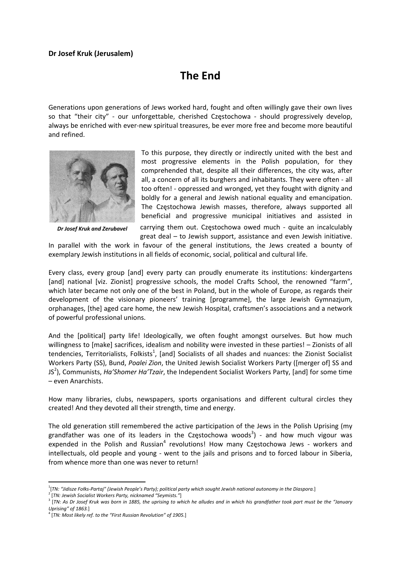## **Dr Josef Kruk (Jerusalem)**

## **The End**

Generations upon generations of Jews worked hard, fought and often willingly gave their own lives so that "their city" - our unforgettable, cherished Częstochowa - should progressively develop, always be enriched with ever‐new spiritual treasures, be ever more free and become more beautiful and refined.



*Dr Josef Kruk and Zerubavel*

To this purpose, they directly or indirectly united with the best and most progressive elements in the Polish population, for they comprehended that, despite all their differences, the city was, after all, a concern of all its burghers and inhabitants. They were often ‐ all too often! ‐ oppressed and wronged, yet they fought with dignity and boldly for a general and Jewish national equality and emancipation. The Częstochowa Jewish masses, therefore, always supported all beneficial and progressive municipal initiatives and assisted in

carrying them out. Częstochowa owed much - quite an incalculably great deal – to Jewish support, assistance and even Jewish initiative.

In parallel with the work in favour of the general institutions, the Jews created a bounty of exemplary Jewish institutions in all fields of economic, social, political and cultural life.

Every class, every group [and] every party can proudly enumerate its institutions: kindergartens [and] national [viz. Zionist] progressive schools, the model Crafts School, the renowned "farm", which later became not only one of the best in Poland, but in the whole of Europe, as regards their development of the visionary pioneers' training [programme], the large Jewish Gymnazjum, orphanages, [the] aged care home, the new Jewish Hospital, craftsmen's associations and a network of powerful professional unions.

And the [political] party life! Ideologically, we often fought amongst ourselves. But how much willingness to [make] sacrifices, idealism and nobility were invested in these parties! – Zionists of all tendencies, Territorialists, Folkists<sup>1</sup>, [and] Socialists of all shades and nuances: the Zionist Socialist Workers Party (SS), Bund, *Poalei Zion*, the United Jewish Socialist Workers Party ([merger of] SS and JS2 ), Communists, *Ha'Shomer Ha'Tzair*, the Independent Socialist Workers Party, [and] for some time – even Anarchists.

How many libraries, clubs, newspapers, sports organisations and different cultural circles they created! And they devoted all their strength, time and energy.

The old generation still remembered the active participation of the Jews in the Polish Uprising (my grandfather was one of its leaders in the Częstochowa woods<sup>3</sup>) - and how much vigour was expended in the Polish and Russian<sup>4</sup> revolutions! How many Częstochowa Jews - workers and intellectuals, old people and young - went to the jails and prisons and to forced labour in Siberia, from whence more than one was never to return!

<sup>&</sup>lt;sup>1</sup>[TN: "Jidisze Fołks-Partaj" (Jewish People's Party); political party which sought Jewish national autonomy in the Diaspora.]

 $^2$  [TN: Jewish Socialist Workers Party, nicknamed "Seymists."]<br> $^3$  [TN: As Dr Josef Kruk was born in 1885, the uprising to which he alludes and in which his grandfather took part must be the "January *Uprising" of 1863.*]

<sup>4</sup> [*TN: Most likely ref. to the "First Russian Revolution" of 1905.*]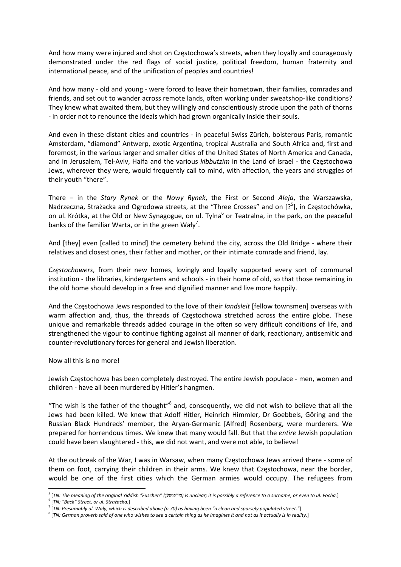And how many were injured and shot on Częstochowa's streets, when they loyally and courageously demonstrated under the red flags of social justice, political freedom, human fraternity and international peace, and of the unification of peoples and countries!

And how many ‐ old and young ‐ were forced to leave their hometown, their families, comrades and friends, and set out to wander across remote lands, often working under sweatshop‐like conditions? They knew what awaited them, but they willingly and conscientiously strode upon the path of thorns ‐ in order not to renounce the ideals which had grown organically inside their souls.

And even in these distant cities and countries ‐ in peaceful Swiss Zürich, boisterous Paris, romantic Amsterdam, "diamond" Antwerp, exotic Argentina, tropical Australia and South Africa and, first and foremost, in the various larger and smaller cities of the United States of North America and Canada, and in Jerusalem, Tel‐Aviv, Haifa and the various *kibbutzim* in the Land of Israel ‐ the Częstochowa Jews, wherever they were, would frequently call to mind, with affection, the years and struggles of their youth "there".

There – in the *Stary Rynek* or the *Nowy Rynek*, the First or Second *Aleja*, the Warszawska, Nadrzeczna, Strażacka and Ogrodowa streets, at the "Three Crosses" and on [?<sup>5</sup>], in Częstochówka, on ul. Krótka, at the Old or New Synagogue, on ul. Tylna<sup>6</sup> or Teatralna, in the park, on the peaceful banks of the familiar Warta, or in the green Wały<sup>7</sup>.

And [they] even [called to mind] the cemetery behind the city, across the Old Bridge - where their relatives and closest ones, their father and mother, or their intimate comrade and friend, lay.

*Częstochowers*, from their new homes, lovingly and loyally supported every sort of communal institution ‐ the libraries, kindergartens and schools ‐ in their home of old, so that those remaining in the old home should develop in a free and dignified manner and live more happily.

And the Częstochowa Jews responded to the love of their *landsleit* [fellow townsmen] overseas with warm affection and, thus, the threads of Częstochowa stretched across the entire globe. These unique and remarkable threads added courage in the often so very difficult conditions of life, and strengthened the vigour to continue fighting against all manner of dark, reactionary, antisemitic and counter‐revolutionary forces for general and Jewish liberation.

## Now all this is no more!

Jewish Częstochowa has been completely destroyed. The entire Jewish populace ‐ men, women and children ‐ have all been murdered by Hitler's hangmen.

"The wish is the father of the thought"<sup>8</sup> and, consequently, we did not wish to believe that all the Jews had been killed. We knew that Adolf Hitler, Heinrich Himmler, Dr Goebbels, Göring and the Russian Black Hundreds' member, the Aryan‐Germanic [Alfred] Rosenberg, were murderers. We prepared for horrendous times. We knew that many would fall. But that the *entire* Jewish population could have been slaughtered ‐ this, we did not want, and were not able, to believe!

At the outbreak of the War, I was in Warsaw, when many Częstochowa Jews arrived there ‐ some of them on foot, carrying their children in their arms. We knew that Częstochowa, near the border, would be one of the first cities which the German armies would occupy. The refugees from

 <sup>5</sup> [TN: The meaning of the original Yiddish "Fuschen" (ביי"פושע") is unclear; it is possibly a reference to a surname, or even to ul. Focha.]<br><sup>6</sup> [TN: "Back" Street, or ul. Strażacka.]

 $\frac{7}{1}$  [TN: Presumably ul. Wały, which is described above (p.70) as having been "a clean and sparsely populated street."]

 $^8$  [TN: German proverb said of one who wishes to see a certain thing as he imagines it and not as it actually is in reality.]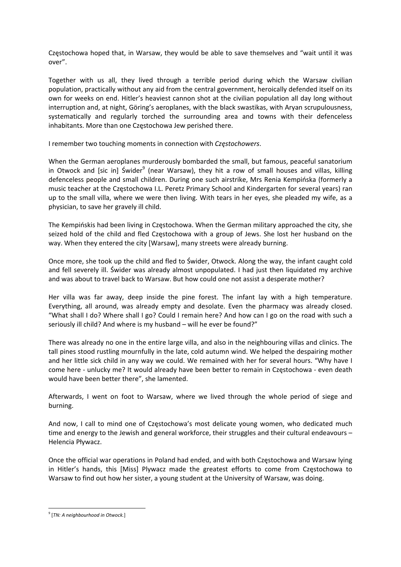Częstochowa hoped that, in Warsaw, they would be able to save themselves and "wait until it was over".

Together with us all, they lived through a terrible period during which the Warsaw civilian population, practically without any aid from the central government, heroically defended itself on its own for weeks on end. Hitler's heaviest cannon shot at the civilian population all day long without interruption and, at night, Göring's aeroplanes, with the black swastikas, with Aryan scrupulousness, systematically and regularly torched the surrounding area and towns with their defenceless inhabitants. More than one Częstochowa Jew perished there.

I remember two touching moments in connection with *Częstochowers*.

When the German aeroplanes murderously bombarded the small, but famous, peaceful sanatorium in Otwock and [sic in] Świder<sup>9</sup> (near Warsaw), they hit a row of small houses and villas, killing defenceless people and small children. During one such airstrike, Mrs Renia Kempińska (formerly a music teacher at the Częstochowa I.L. Peretz Primary School and Kindergarten for several years) ran up to the small villa, where we were then living. With tears in her eyes, she pleaded my wife, as a physician, to save her gravely ill child.

The Kempińskis had been living in Częstochowa. When the German military approached the city, she seized hold of the child and fled Częstochowa with a group of Jews. She lost her husband on the way. When they entered the city [Warsaw], many streets were already burning.

Once more, she took up the child and fled to Świder, Otwock. Along the way, the infant caught cold and fell severely ill. Świder was already almost unpopulated. I had just then liquidated my archive and was about to travel back to Warsaw. But how could one not assist a desperate mother?

Her villa was far away, deep inside the pine forest. The infant lay with a high temperature. Everything, all around, was already empty and desolate. Even the pharmacy was already closed. "What shall I do? Where shall I go? Could I remain here? And how can I go on the road with such a seriously ill child? And where is my husband – will he ever be found?"

There was already no one in the entire large villa, and also in the neighbouring villas and clinics. The tall pines stood rustling mournfully in the late, cold autumn wind. We helped the despairing mother and her little sick child in any way we could. We remained with her for several hours. "Why have I come here ‐ unlucky me? It would already have been better to remain in Częstochowa ‐ even death would have been better there", she lamented.

Afterwards, I went on foot to Warsaw, where we lived through the whole period of siege and burning.

And now, I call to mind one of Częstochowa's most delicate young women, who dedicated much time and energy to the Jewish and general workforce, their struggles and their cultural endeavours – Helencia Pływacz.

Once the official war operations in Poland had ended, and with both Częstochowa and Warsaw lying in Hitler's hands, this [Miss] Plywacz made the greatest efforts to come from Częstochowa to Warsaw to find out how her sister, a young student at the University of Warsaw, was doing.

<sup>9</sup> [*TN: A neighbourhood in Otwock.*]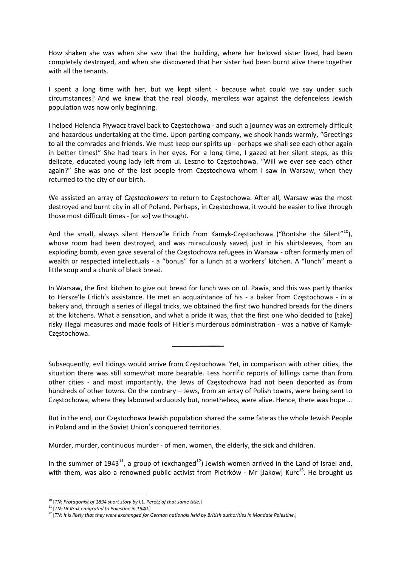How shaken she was when she saw that the building, where her beloved sister lived, had been completely destroyed, and when she discovered that her sister had been burnt alive there together with all the tenants.

I spent a long time with her, but we kept silent ‐ because what could we say under such circumstances? And we knew that the real bloody, merciless war against the defenceless Jewish population was now only beginning.

I helped Helencia Pływacz travel back to Częstochowa ‐ and such a journey was an extremely difficult and hazardous undertaking at the time. Upon parting company, we shook hands warmly, "Greetings to all the comrades and friends. We must keep our spirits up - perhaps we shall see each other again in better times!" She had tears in her eyes. For a long time, I gazed at her silent steps, as this delicate, educated young lady left from ul. Leszno to Częstochowa. "Will we ever see each other again?" She was one of the last people from Częstochowa whom I saw in Warsaw, when they returned to the city of our birth.

We assisted an array of *Częstochowers* to return to Częstochowa. After all, Warsaw was the most destroyed and burnt city in all of Poland. Perhaps, in Częstochowa, it would be easier to live through those most difficult times ‐ [or so] we thought.

And the small, always silent Hersze'le Erlich from Kamyk-Częstochowa ("Bontshe the Silent"<sup>10</sup>), whose room had been destroyed, and was miraculously saved, just in his shirtsleeves, from an exploding bomb, even gave several of the Częstochowa refugees in Warsaw ‐ often formerly men of wealth or respected intellectuals - a "bonus" for a lunch at a workers' kitchen. A "lunch" meant a little soup and a chunk of black bread.

In Warsaw, the first kitchen to give out bread for lunch was on ul. Pawia, and this was partly thanks to Hersze'le Erlich's assistance. He met an acquaintance of his - a baker from Częstochowa - in a bakery and, through a series of illegal tricks, we obtained the first two hundred breads for the diners at the kitchens. What a sensation, and what a pride it was, that the first one who decided to [take] risky illegal measures and made fools of Hitler's murderous administration ‐ was a native of Kamyk‐ Częstochowa.

Subsequently, evil tidings would arrive from Częstochowa. Yet, in comparison with other cities, the situation there was still somewhat more bearable. Less horrific reports of killings came than from other cities - and most importantly, the Jews of Częstochowa had not been deported as from hundreds of other towns. On the contrary – Jews, from an array of Polish towns, were being sent to Częstochowa, where they laboured arduously but, nonetheless, were alive. Hence, there was hope …

But in the end, our Częstochowa Jewish population shared the same fate as the whole Jewish People in Poland and in the Soviet Union's conquered territories.

Murder, murder, continuous murder ‐ of men, women, the elderly, the sick and children.

In the summer of 1943<sup>11</sup>, a group of (exchanged<sup>12</sup>) Jewish women arrived in the Land of Israel and, with them, was also a renowned public activist from Piotrków - Mr [Jakow] Kurc $^{13}$ . He brought us

<sup>10</sup> [*TN: Protagonist of 1894 short story by I.L. Peretz of that same title.*]

<sup>11</sup> [*TN: Dr Kruk emigrated to Palestine in 1940.*]

 $12$  TN: It is likely that they were exchanged for German nationals held by British authorities in Mandate Palestine.]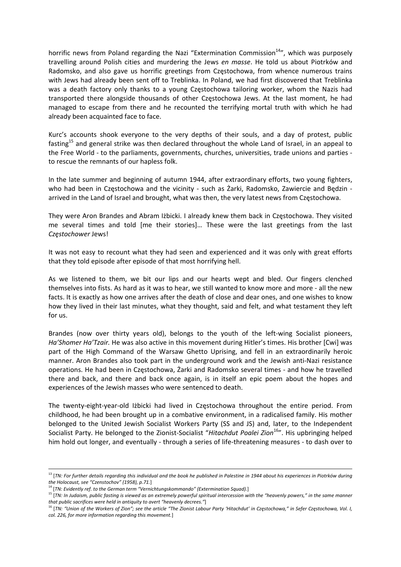horrific news from Poland regarding the Nazi "Extermination Commission $14$ ", which was purposely travelling around Polish cities and murdering the Jews *en masse*. He told us about Piotrków and Radomsko, and also gave us horrific greetings from Częstochowa, from whence numerous trains with Jews had already been sent off to Treblinka. In Poland, we had first discovered that Treblinka was a death factory only thanks to a young Częstochowa tailoring worker, whom the Nazis had transported there alongside thousands of other Częstochowa Jews. At the last moment, he had managed to escape from there and he recounted the terrifying mortal truth with which he had already been acquainted face to face.

Kurc's accounts shook everyone to the very depths of their souls, and a day of protest, public fasting<sup>15</sup> and general strike was then declared throughout the whole Land of Israel, in an appeal to the Free World ‐ to the parliaments, governments, churches, universities, trade unions and parties ‐ to rescue the remnants of our hapless folk.

In the late summer and beginning of autumn 1944, after extraordinary efforts, two young fighters, who had been in Częstochowa and the vicinity - such as  $Zarki$ , Radomsko, Zawiercie and Będzin arrived in the Land of Israel and brought, what was then, the very latest news from Częstochowa.

They were Aron Brandes and Abram Iżbicki. I already knew them back in Częstochowa. They visited me several times and told [me their stories]… These were the last greetings from the last *Częstochower* Jews!

It was not easy to recount what they had seen and experienced and it was only with great efforts that they told episode after episode of that most horrifying hell.

As we listened to them, we bit our lips and our hearts wept and bled. Our fingers clenched themselves into fists. As hard as it was to hear, we still wanted to know more and more ‐ all the new facts. It is exactly as how one arrives after the death of close and dear ones, and one wishes to know how they lived in their last minutes, what they thought, said and felt, and what testament they left for us.

Brandes (now over thirty years old), belongs to the youth of the left-wing Socialist pioneers, *Ha'Shomer Ha'Tzair.* He was also active in this movement during Hitler's times. His brother [Cwi] was part of the High Command of the Warsaw Ghetto Uprising, and fell in an extraordinarily heroic manner. Aron Brandes also took part in the underground work and the Jewish anti‐Nazi resistance operations. He had been in Częstochowa, Żarki and Radomsko several times ‐ and how he travelled there and back, and there and back once again, is in itself an epic poem about the hopes and experiences of the Jewish masses who were sentenced to death.

The twenty-eight-year-old Izbicki had lived in Częstochowa throughout the entire period. From childhood, he had been brought up in a combative environment, in a radicalised family. His mother belonged to the United Jewish Socialist Workers Party (SS and JS) and, later, to the Independent Socialist Party. He belonged to the Zionist‐Socialist "*Hitachdut Poalei Zion*16". His upbringing helped him hold out longer, and eventually - through a series of life-threatening measures - to dash over to

<sup>&</sup>lt;u> 1989 - Johann Barn, amerikansk politiker (d. 1989)</u>  $^{13}$  [TN: For further details regarding this individual and the book he published in Palestine in 1944 about his experiences in Piotrków during *the Holocaust, see "Czenstochov" (1958), p.71.*]

<sup>14</sup> [*TN: Evidently ref. to the German term "Vernichtungskommando" (Extermination Squad).*]

<sup>&</sup>lt;sup>15</sup> [TN: In Judaism, public fasting is viewed as an extremely powerful spiritual intercession with the "heavenly powers," in the same manner *that public sacrifices were held in antiquity to avert "heavenly decrees."*]

<sup>&</sup>lt;sup>16</sup> [TN: "Union of the Workers of Zion"; see the article "The Zionist Labour Party 'Hitachdut' in Częstochowa," in Sefer Częstochowa, Vol. I, *col. 226, for more information regarding this movement.*]